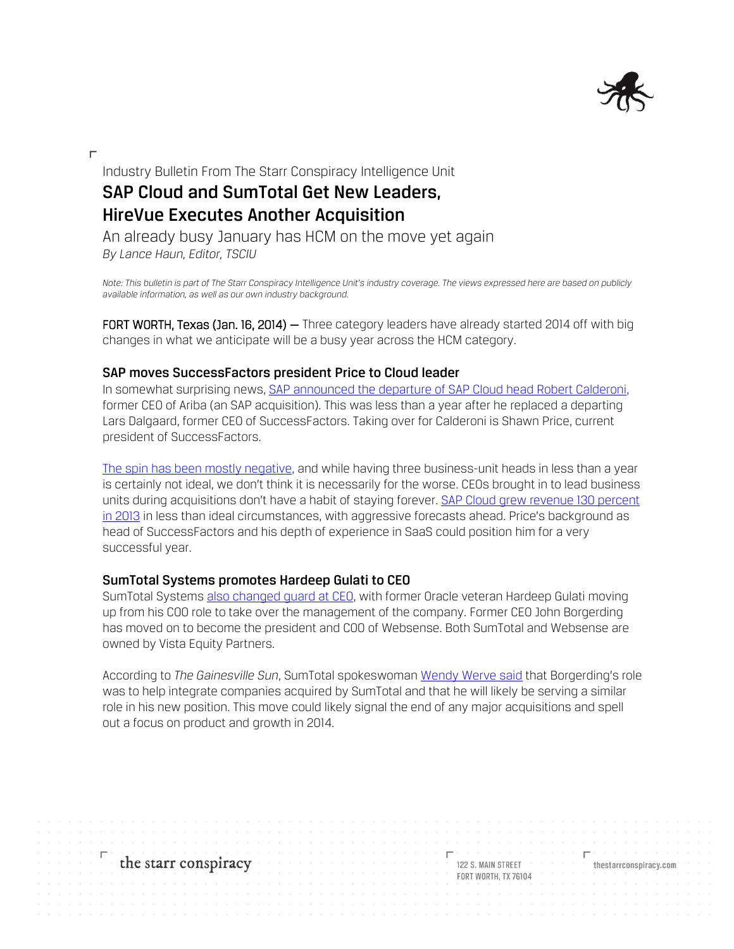

Industry Bulletin From The Starr Conspiracy Intelligence Unit **SAP Cloud and SumTotal Get New Leaders, HireVue Executes Another Acquisition**

An already busy January has HCM on the move yet again *By Lance Haun, Editor, TSCIU*

Note: This bulletin is part of The Starr Conspiracy Intelligence Unit's industry coverage. The views expressed here are based on publicly *available information, as well as our own industry background.*

FORT WORTH, Texas (Jan. 16, 2014) - Three category leaders have already started 2014 off with big changes in what we anticipate will be a busy year across the HCM category.

# **SAP moves SuccessFactors president Price to Cloud leader**

In somewhat surprising news, [SAP announced the departure of SAP Cloud head Robert Calderoni,](http://www.businessinsider.com/saps-top-cloud-guy-has-left-2014-1) former CEO of Ariba (an SAP acquisition). This was less than a year after he replaced a departing Lars Dalgaard, former CEO of SuccessFactors. Taking over for Calderoni is Shawn Price, current president of SuccessFactors.

[The spin has been mostly negative,](http://www.forbes.com/sites/benkepes/2014/01/09/sap-suffers-yet-more-cloud-pain-cloud-software-head-quits/) and while having three business-unit heads in less than a year is certainly not ideal, we don't think it is necessarily for the worse. CEOs brought in to lead business units during acquisitions don't have a habit of staying forever. [SAP Cloud grew revenue 130](http://global.sap.com/corporate-en/investors/newsandreports/news.epx?category=45&articleID=22115) percent [in 2013](http://global.sap.com/corporate-en/investors/newsandreports/news.epx?category=45&articleID=22115) in less than ideal circumstances, with aggressive forecasts ahead. Price's background as head of SuccessFactors and his depth of experience in SaaS could position him for a very successful year.

# **SumTotal Systems promotes Hardeep Gulati to CEO**

SumTotal Systems also changed quard at CEO, with former Oracle veteran Hardeep Gulati moving up from his COO role to take over the management of the company. Former CEO John Borgerding has moved on to become the president and COO of Websense. Both SumTotal and Websense are owned by Vista Equity Partners.

According to *The Gainesville Sun*, SumTotal spokeswoman [Wendy Werve said](http://www.gainesville.com/article/20140108/ARTICLES/140109717?p=1&tc=pg&tc=ar#gsc.tab=0) that Borgerding's role was to help integrate companies acquired by SumTotal and that he will likely be serving a similar role in his new position. This move could likely signal the end of any major acquisitions and spell out a focus on product and growth in 2014.

the starr conspiracy

122 S. MAIN STREET FORT WORTH, TX 76104 thestarrconspiracy.com